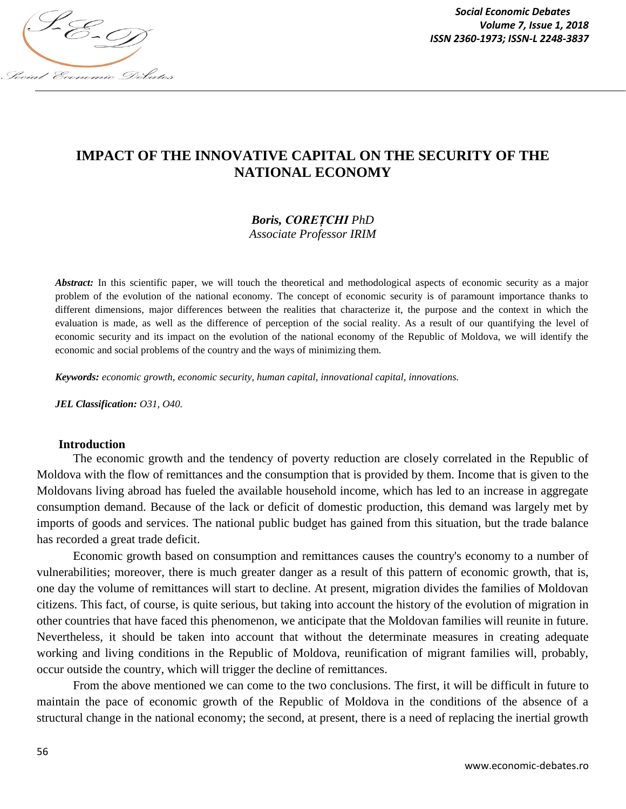

*Social Economic Debates Volume 7, Issue 1, 2018*

# **IMPACT OF THE INNOVATIVE CAPITAL ON THE SECURITY OF THE NATIONAL ECONOMY**

# *Boris, COREȚCHI PhD*

*Associate Professor IRIM*

*Abstract:* In this scientific paper, we will touch the theoretical and methodological aspects of economic security as a major problem of the evolution of the national economy. The concept of economic security is of paramount importance thanks to different dimensions, major differences between the realities that characterize it, the purpose and the context in which the evaluation is made, as well as the difference of perception of the social reality. As a result of our quantifying the level of economic security and its impact on the evolution of the national economy of the Republic of Moldova, we will identify the economic and social problems of the country and the ways of minimizing them.

*Keywords: economic growth, economic security, human capital, innovational capital, innovations.*

*JEL Classification: O31, O40.*

#### **Introduction**

The economic growth and the tendency of poverty reduction are closely correlated in the Republic of Moldova with the flow of remittances and the consumption that is provided by them. Income that is given to the Moldovans living abroad has fueled the available household income, which has led to an increase in aggregate consumption demand. Because of the lack or deficit of domestic production, this demand was largely met by imports of goods and services. The national public budget has gained from this situation, but the trade balance has recorded a great trade deficit.

Economic growth based on consumption and remittances causes the country's economy to a number of vulnerabilities; moreover, there is much greater danger as a result of this pattern of economic growth, that is, one day the volume of remittances will start to decline. At present, migration divides the families of Moldovan citizens. This fact, of course, is quite serious, but taking into account the history of the evolution of migration in other countries that have faced this phenomenon, we anticipate that the Moldovan families will reunite in future. Nevertheless, it should be taken into account that without the determinate measures in creating adequate working and living conditions in the Republic of Moldova, reunification of migrant families will, probably, occur outside the country, which will trigger the decline of remittances.

From the above mentioned we can come to the two conclusions. The first, it will be difficult in future to maintain the pace of economic growth of the Republic of Moldova in the conditions of the absence of a structural change in the national economy; the second, at present, there is a need of replacing the inertial growth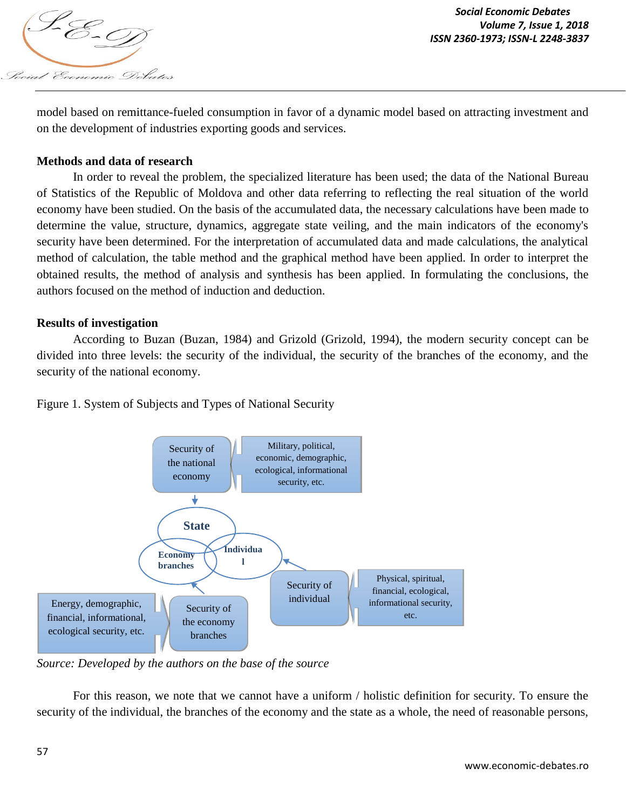

model based on remittance-fueled consumption in favor of a dynamic model based on attracting investment and on the development of industries exporting goods and services.

### **Methods and data of research**

In order to reveal the problem, the specialized literature has been used; the data of the National Bureau of Statistics of the Republic of Moldova and other data referring to reflecting the real situation of the world economy have been studied. On the basis of the accumulated data, the necessary calculations have been made to determine the value, structure, dynamics, aggregate state veiling, and the main indicators of the economy's security have been determined. For the interpretation of accumulated data and made calculations, the analytical method of calculation, the table method and the graphical method have been applied. In order to interpret the obtained results, the method of analysis and synthesis has been applied. In formulating the conclusions, the authors focused on the method of induction and deduction.

### **Results of investigation**

According to Buzan (Buzan, 1984) and Grizold (Grizold, 1994), the modern security concept can be divided into three levels: the security of the individual, the security of the branches of the economy, and the security of the national economy.

Figure 1. System of Subjects and Types of National Security



*Source: Developed by the authors on the base of the source* 

For this reason, we note that we cannot have a uniform / holistic definition for security. To ensure the security of the individual, the branches of the economy and the state as a whole, the need of reasonable persons,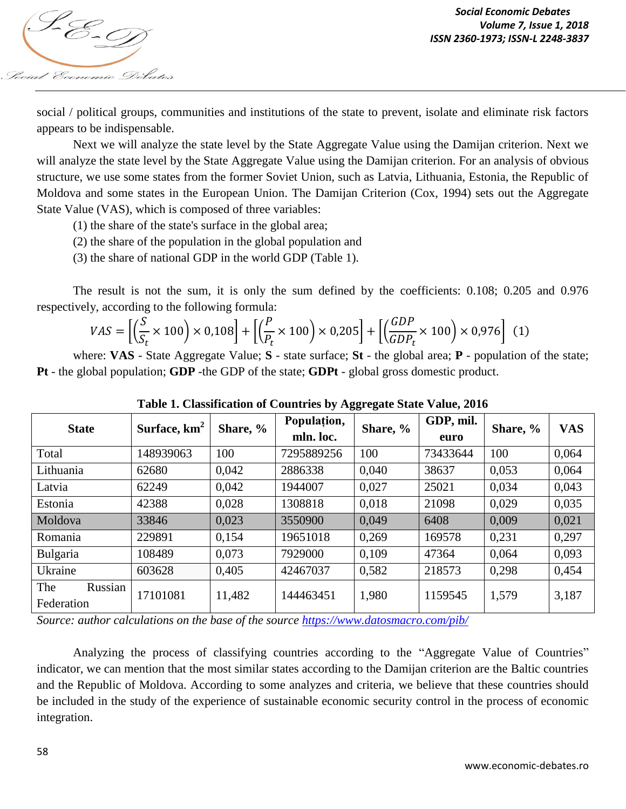

social / political groups, communities and institutions of the state to prevent, isolate and eliminate risk factors appears to be indispensable.

Next we will analyze the state level by the State Aggregate Value using the Damijan criterion. Next we will analyze the state level by the State Aggregate Value using the Damijan criterion. For an analysis of obvious structure, we use some states from the former Soviet Union, such as Latvia, Lithuania, Estonia, the Republic of Moldova and some states in the European Union. The Damijan Criterion (Cox, 1994) sets out the Aggregate State Value (VAS), which is composed of three variables:

- (1) the share of the state's surface in the global area;
- (2) the share of the population in the global population and
- (3) the share of national GDP in the world GDP (Table 1).

The result is not the sum, it is only the sum defined by the coefficients: 0.108; 0.205 and 0.976 respectively, according to the following formula:

$$
VAS = \left[ \left( \frac{S}{S_t} \times 100 \right) \times 0,108 \right] + \left[ \left( \frac{P}{P_t} \times 100 \right) \times 0,205 \right] + \left[ \left( \frac{GDP}{GDP_t} \times 100 \right) \times 0,976 \right] \tag{1}
$$

where: **VAS** - State Aggregate Value; **S** - state surface; **St** - the global area; **P** - population of the state; **Pt** - the global population; **GDP** -the GDP of the state; **GDPt** - global gross domestic product.

| <b>State</b>                 | Surface, km <sup>2</sup> | Share, % | Population, | Share, % | GDP, mil. | Share, % | <b>VAS</b> |
|------------------------------|--------------------------|----------|-------------|----------|-----------|----------|------------|
|                              |                          |          | mln. loc.   |          | euro      |          |            |
| Total                        | 148939063                | 100      | 7295889256  | 100      | 73433644  | 100      | 0,064      |
| Lithuania                    | 62680                    | 0,042    | 2886338     | 0,040    | 38637     | 0,053    | 0,064      |
| Latvia                       | 62249                    | 0,042    | 1944007     | 0,027    | 25021     | 0.034    | 0,043      |
| Estonia                      | 42388                    | 0,028    | 1308818     | 0,018    | 21098     | 0,029    | 0,035      |
| Moldova                      | 33846                    | 0,023    | 3550900     | 0,049    | 6408      | 0,009    | 0,021      |
| Romania                      | 229891                   | 0,154    | 19651018    | 0.269    | 169578    | 0,231    | 0,297      |
| <b>Bulgaria</b>              | 108489                   | 0,073    | 7929000     | 0.109    | 47364     | 0,064    | 0,093      |
| Ukraine                      | 603628                   | 0,405    | 42467037    | 0,582    | 218573    | 0,298    | 0,454      |
| The<br>Russian<br>Federation | 17101081                 | 11,482   | 144463451   | 1,980    | 1159545   | 1,579    | 3,187      |

**Table 1. Classification of Countries by Aggregate State Value, 2016**

*Source: author calculations on the base of the source https://www.datosmacro.com/pib/*

Analyzing the process of classifying countries according to the "Aggregate Value of Countries" indicator, we can mention that the most similar states according to the Damijan criterion are the Baltic countries and the Republic of Moldova. According to some analyzes and criteria, we believe that these countries should be included in the study of the experience of sustainable economic security control in the process of economic integration.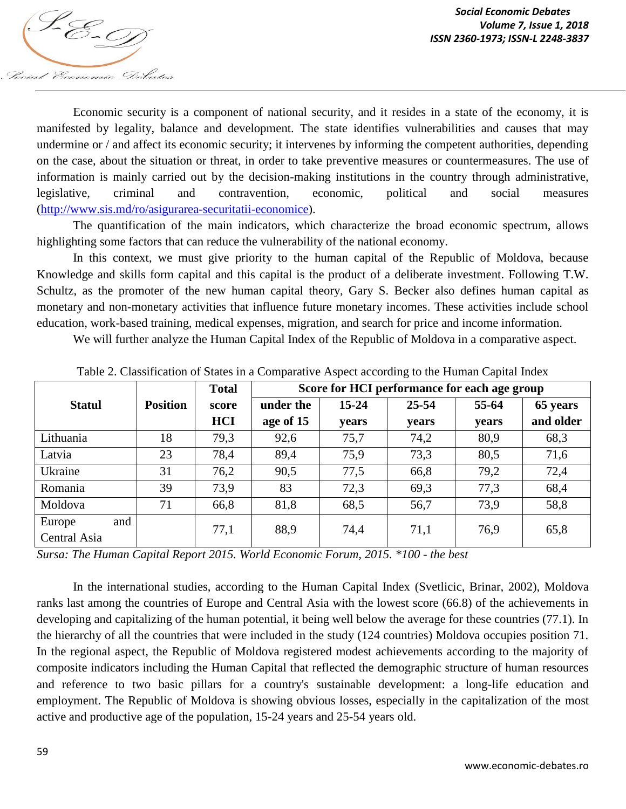

Economic security is a component of national security, and it resides in a state of the economy, it is manifested by legality, balance and development. The state identifies vulnerabilities and causes that may undermine or / and affect its economic security; it intervenes by informing the competent authorities, depending on the case, about the situation or threat, in order to take preventive measures or countermeasures. The use of information is mainly carried out by the decision-making institutions in the country through administrative, legislative, criminal and contravention, economic, political and social measures (http://www.sis.md/ro/asigurarea-securitatii-economice).

The quantification of the main indicators, which characterize the broad economic spectrum, allows highlighting some factors that can reduce the vulnerability of the national economy.

In this context, we must give priority to the human capital of the Republic of Moldova, because Knowledge and skills form capital and this capital is the product of a deliberate investment. Following T.W. Schultz, as the promoter of the new human capital theory, Gary S. Becker also defines human capital as monetary and non-monetary activities that influence future monetary incomes. These activities include school education, work-based training, medical expenses, migration, and search for price and income information.

We will further analyze the Human Capital Index of the Republic of Moldova in a comparative aspect.

|               |                 | <b>Total</b> | Score for HCI performance for each age group |              |           |              |           |  |
|---------------|-----------------|--------------|----------------------------------------------|--------------|-----------|--------------|-----------|--|
| <b>Statul</b> | <b>Position</b> | score        | under the                                    | $15 - 24$    | $25 - 54$ | 55-64        | 65 years  |  |
|               |                 | <b>HCI</b>   | age of 15                                    | <b>vears</b> | years     | <b>vears</b> | and older |  |
| Lithuania     | 18              | 79,3         | 92,6                                         | 75,7         | 74,2      | 80,9         | 68,3      |  |
| Latvia        | 23              | 78,4         | 89,4                                         | 75,9         | 73,3      | 80,5         | 71,6      |  |
| Ukraine       | 31              | 76,2         | 90,5                                         | 77,5         | 66,8      | 79,2         | 72,4      |  |
| Romania       | 39              | 73,9         | 83                                           | 72,3         | 69,3      | 77,3         | 68,4      |  |
| Moldova       | 71              | 66,8         | 81,8                                         | 68,5         | 56,7      | 73,9         | 58,8      |  |
| Europe<br>and |                 | 77,1         | 88,9                                         | 74,4         | 71,1      | 76,9         | 65,8      |  |
| Central Asia  |                 |              |                                              |              |           |              |           |  |

Table 2. Classification of States in a Comparative Aspect according to the Human Capital Index

*Sursa: The Human Capital Report 2015. World Economic Forum, 2015. \*100 - the best*

In the international studies, according to the Human Capital Index (Svetlicic, Brinar, 2002), Moldova ranks last among the countries of Europe and Central Asia with the lowest score (66.8) of the achievements in developing and capitalizing of the human potential, it being well below the average for these countries (77.1). In the hierarchy of all the countries that were included in the study (124 countries) Moldova occupies position 71. In the regional aspect, the Republic of Moldova registered modest achievements according to the majority of composite indicators including the Human Capital that reflected the demographic structure of human resources and reference to two basic pillars for a country's sustainable development: a long-life education and employment. The Republic of Moldova is showing obvious losses, especially in the capitalization of the most active and productive age of the population, 15-24 years and 25-54 years old.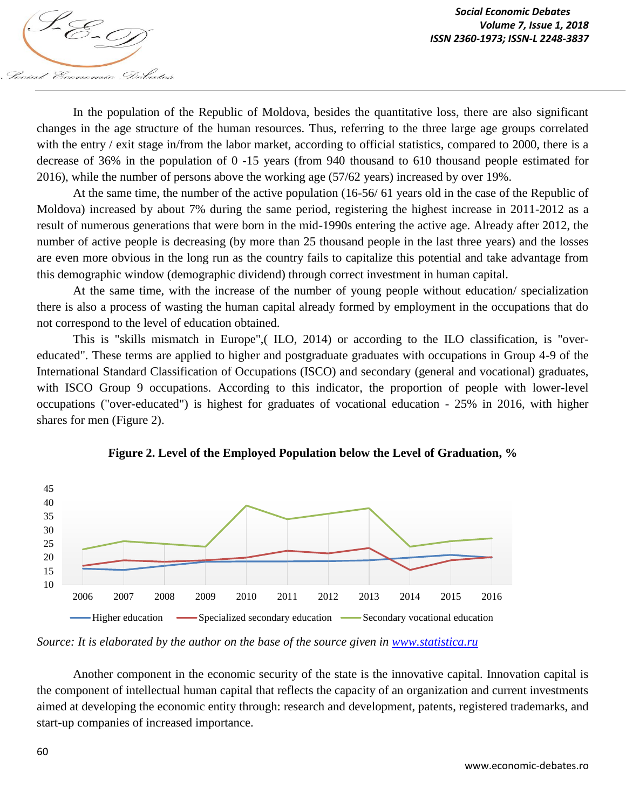In the population of the Republic of Moldova, besides the quantitative loss, there are also significant changes in the age structure of the human resources. Thus, referring to the three large age groups correlated with the entry / exit stage in/from the labor market, according to official statistics, compared to 2000, there is a decrease of 36% in the population of 0 -15 years (from 940 thousand to 610 thousand people estimated for 2016), while the number of persons above the working age (57/62 years) increased by over 19%.

At the same time, the number of the active population (16-56/ 61 years old in the case of the Republic of Moldova) increased by about 7% during the same period, registering the highest increase in 2011-2012 as a result of numerous generations that were born in the mid-1990s entering the active age. Already after 2012, the number of active people is decreasing (by more than 25 thousand people in the last three years) and the losses are even more obvious in the long run as the country fails to capitalize this potential and take advantage from this demographic window (demographic dividend) through correct investment in human capital.

At the same time, with the increase of the number of young people without education/ specialization there is also a process of wasting the human capital already formed by employment in the occupations that do not correspond to the level of education obtained.

This is "skills mismatch in Europe",( ILO, 2014) or according to the ILO classification, is "overeducated". These terms are applied to higher and postgraduate graduates with occupations in Group 4-9 of the International Standard Classification of Occupations (ISCO) and secondary (general and vocational) graduates, with ISCO Group 9 occupations. According to this indicator, the proportion of people with lower-level occupations ("over-educated") is highest for graduates of vocational education - 25% in 2016, with higher shares for men (Figure 2).



**Figure 2. Level of the Employed Population below the Level of Graduation, %**

*Source: It is elaborated by the author on the base of the source given in www.statistica.ru*

Another component in the economic security of the state is the innovative capital. Innovation capital is the component of intellectual human capital that reflects the capacity of an organization and current investments aimed at developing the economic entity through: research and development, patents, registered trademarks, and start-up companies of increased importance.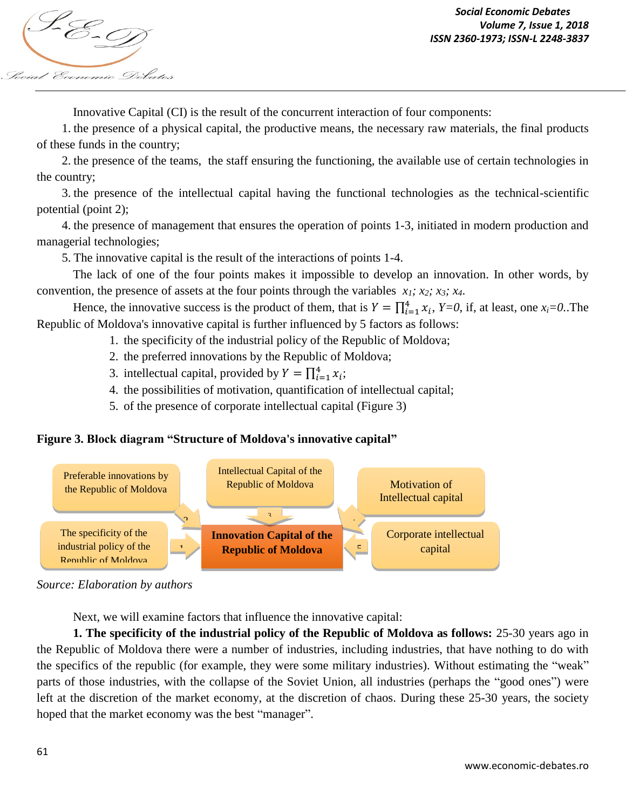

Innovative Capital (CI) is the result of the concurrent interaction of four components:

1. the presence of a physical capital, the productive means, the necessary raw materials, the final products of these funds in the country;

2. the presence of the teams, the staff ensuring the functioning, the available use of certain technologies in the country;

3. the presence of the intellectual capital having the functional technologies as the technical-scientific potential (point 2);

4. the presence of management that ensures the operation of points 1-3, initiated in modern production and managerial technologies;

5. The innovative capital is the result of the interactions of points 1-4.

The lack of one of the four points makes it impossible to develop an innovation. In other words, by convention, the presence of assets at the four points through the variables *x1; x2; x3; x4*.

Hence, the innovative success is the product of them, that is  $Y = \prod_{i=1}^{4} x_i$ ,  $Y=0$ , if, at least, one  $x_i=0$ . The Republic of Moldova's innovative capital is further influenced by 5 factors as follows:

- 1. the specificity of the industrial policy of the Republic of Moldova;
- 2. the preferred innovations by the Republic of Moldova;
- 3. intellectual capital, provided by  $Y = \prod_{i=1}^{4} x_i$ ;
- 4. the possibilities of motivation, quantification of intellectual capital;
- 5. of the presence of corporate intellectual capital (Figure 3)

## **Figure 3. Block diagram "Structure of Moldova's innovative capital"**



*Source: Elaboration by authors*

Next, we will examine factors that influence the innovative capital:

**1. The specificity of the industrial policy of the Republic of Moldova as follows:** 25-30 years ago in the Republic of Moldova there were a number of industries, including industries, that have nothing to do with the specifics of the republic (for example, they were some military industries). Without estimating the "weak" parts of those industries, with the collapse of the Soviet Union, all industries (perhaps the "good ones") were left at the discretion of the market economy, at the discretion of chaos. During these 25-30 years, the society hoped that the market economy was the best "manager".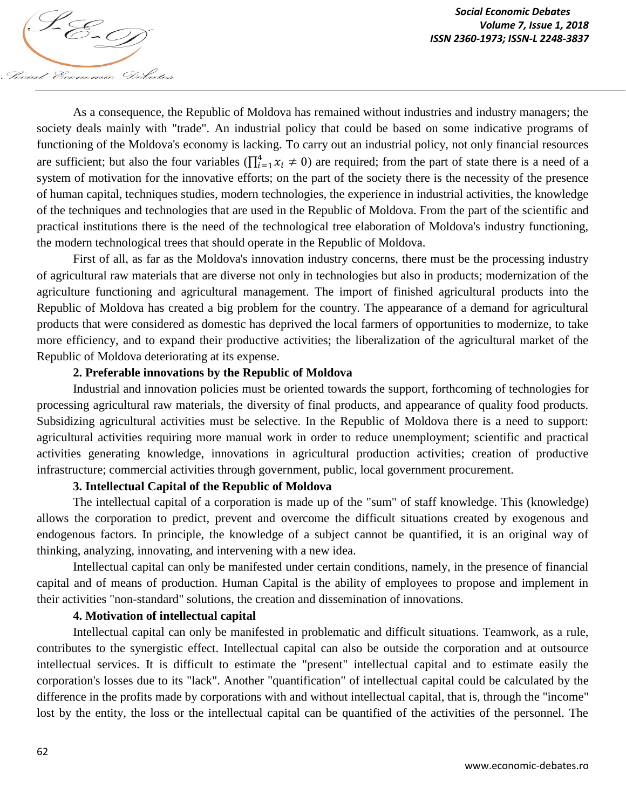Social Economic Debates As a consequence, the Republic of Moldova has remained without industries and industry managers; the society deals mainly with "trade". An industrial policy that could be based on some indicative programs of functioning of the Moldova's economy is lacking. To carry out an industrial policy, not only financial resources are sufficient; but also the four variables  $(\prod_{i=1}^{4} x_i \neq 0)$  are required; from the part of state there is a need of a system of motivation for the innovative efforts; on the part of the society there is the necessity of the presence of human capital, techniques studies, modern technologies, the experience in industrial activities, the knowledge of the techniques and technologies that are used in the Republic of Moldova. From the part of the scientific and practical institutions there is the need of the technological tree elaboration of Moldova's industry functioning,

First of all, as far as the Moldova's innovation industry concerns, there must be the processing industry of agricultural raw materials that are diverse not only in technologies but also in products; modernization of the agriculture functioning and agricultural management. The import of finished agricultural products into the Republic of Moldova has created a big problem for the country. The appearance of a demand for agricultural products that were considered as domestic has deprived the local farmers of opportunities to modernize, to take more efficiency, and to expand their productive activities; the liberalization of the agricultural market of the Republic of Moldova deteriorating at its expense.

#### **2. Preferable innovations by the Republic of Moldova**

the modern technological trees that should operate in the Republic of Moldova.

Industrial and innovation policies must be oriented towards the support, forthcoming of technologies for processing agricultural raw materials, the diversity of final products, and appearance of quality food products. Subsidizing agricultural activities must be selective. In the Republic of Moldova there is a need to support: agricultural activities requiring more manual work in order to reduce unemployment; scientific and practical activities generating knowledge, innovations in agricultural production activities; creation of productive infrastructure; commercial activities through government, public, local government procurement.

#### **3. Intellectual Capital of the Republic of Moldova**

The intellectual capital of a corporation is made up of the "sum" of staff knowledge. This (knowledge) allows the corporation to predict, prevent and overcome the difficult situations created by exogenous and endogenous factors. In principle, the knowledge of a subject cannot be quantified, it is an original way of thinking, analyzing, innovating, and intervening with a new idea.

Intellectual capital can only be manifested under certain conditions, namely, in the presence of financial capital and of means of production. Human Capital is the ability of employees to propose and implement in their activities "non-standard" solutions, the creation and dissemination of innovations.

#### **4. Motivation of intellectual capital**

Intellectual capital can only be manifested in problematic and difficult situations. Teamwork, as a rule, contributes to the synergistic effect. Intellectual capital can also be outside the corporation and at outsource intellectual services. It is difficult to estimate the "present" intellectual capital and to estimate easily the corporation's losses due to its "lack". Another "quantification" of intellectual capital could be calculated by the difference in the profits made by corporations with and without intellectual capital, that is, through the "income" lost by the entity, the loss or the intellectual capital can be quantified of the activities of the personnel. The